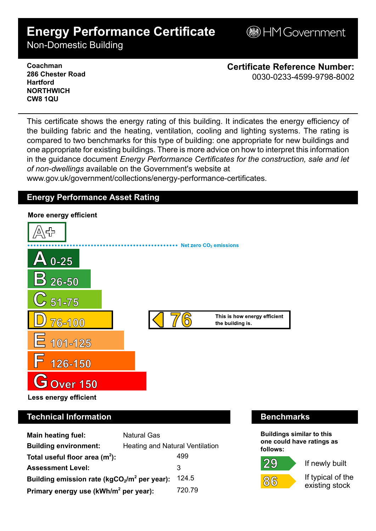# **Energy Performance Certificate**

**BHM Government** 

Non-Domestic Building

**Coachman 286 Chester Road Hartford NORTHWICH CW8 1QU**

**Certificate Reference Number:** 0030-0233-4599-9798-8002

This certificate shows the energy rating of this building. It indicates the energy efficiency of the building fabric and the heating, ventilation, cooling and lighting systems. The rating is compared to two benchmarks for this type of building: one appropriate for new buildings and one appropriate for existing buildings. There is more advice on how to interpret this information in the guidance document *Energy Performance Certificates for the construction, sale and let of non-dwellings* available on the Government's website at

www.gov.uk/government/collections/energy-performance-certificates.

# **Energy Performance Asset Rating**



# **Technical Information Benchmarks**

| <b>Main heating fuel:</b>                         | <b>Natural Gas</b>                     |        |
|---------------------------------------------------|----------------------------------------|--------|
| <b>Building environment:</b>                      | <b>Heating and Natural Ventilation</b> |        |
| Total useful floor area $(m2)$ :                  |                                        | 499    |
| <b>Assessment Level:</b>                          |                                        | 3      |
| Building emission rate ( $kgCO2/m2$ per year):    |                                        | 124.5  |
| Primary energy use (kWh/m <sup>2</sup> per year): |                                        | 720.79 |

**Buildings similar to this one could have ratings as follows:**





 $86$ 

If typical of the existing stock